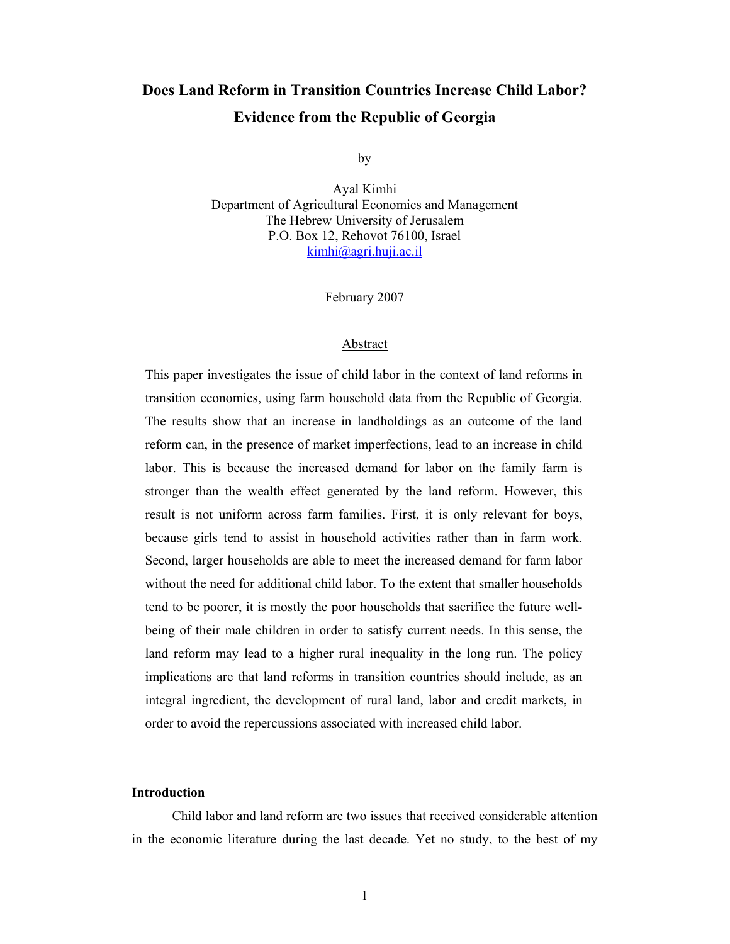# **Does Land Reform in Transition Countries Increase Child Labor? Evidence from the Republic of Georgia**

by

Ayal Kimhi Department of Agricultural Economics and Management The Hebrew University of Jerusalem P.O. Box 12, Rehovot 76100, Israel kimhi@agri.huji.ac.il

February 2007

#### Abstract

This paper investigates the issue of child labor in the context of land reforms in transition economies, using farm household data from the Republic of Georgia. The results show that an increase in landholdings as an outcome of the land reform can, in the presence of market imperfections, lead to an increase in child labor. This is because the increased demand for labor on the family farm is stronger than the wealth effect generated by the land reform. However, this result is not uniform across farm families. First, it is only relevant for boys, because girls tend to assist in household activities rather than in farm work. Second, larger households are able to meet the increased demand for farm labor without the need for additional child labor. To the extent that smaller households tend to be poorer, it is mostly the poor households that sacrifice the future wellbeing of their male children in order to satisfy current needs. In this sense, the land reform may lead to a higher rural inequality in the long run. The policy implications are that land reforms in transition countries should include, as an integral ingredient, the development of rural land, labor and credit markets, in order to avoid the repercussions associated with increased child labor.

#### **Introduction**

 Child labor and land reform are two issues that received considerable attention in the economic literature during the last decade. Yet no study, to the best of my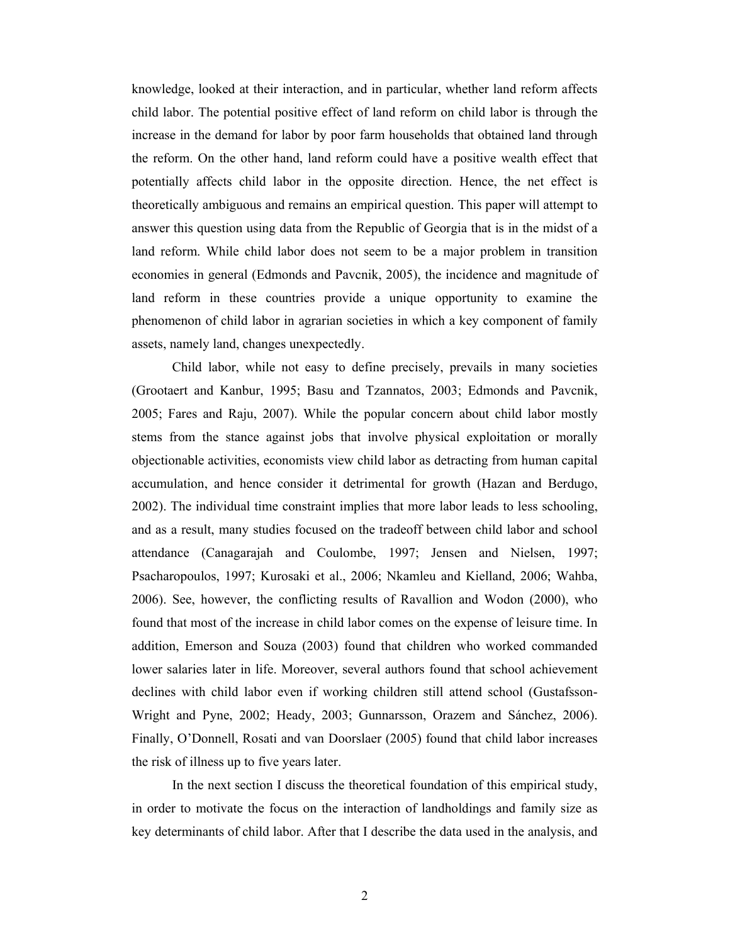knowledge, looked at their interaction, and in particular, whether land reform affects child labor. The potential positive effect of land reform on child labor is through the increase in the demand for labor by poor farm households that obtained land through the reform. On the other hand, land reform could have a positive wealth effect that potentially affects child labor in the opposite direction. Hence, the net effect is theoretically ambiguous and remains an empirical question. This paper will attempt to answer this question using data from the Republic of Georgia that is in the midst of a land reform. While child labor does not seem to be a major problem in transition economies in general (Edmonds and Pavcnik, 2005), the incidence and magnitude of land reform in these countries provide a unique opportunity to examine the phenomenon of child labor in agrarian societies in which a key component of family assets, namely land, changes unexpectedly.

 Child labor, while not easy to define precisely, prevails in many societies (Grootaert and Kanbur, 1995; Basu and Tzannatos, 2003; Edmonds and Pavcnik, 2005; Fares and Raju, 2007). While the popular concern about child labor mostly stems from the stance against jobs that involve physical exploitation or morally objectionable activities, economists view child labor as detracting from human capital accumulation, and hence consider it detrimental for growth (Hazan and Berdugo, 2002). The individual time constraint implies that more labor leads to less schooling, and as a result, many studies focused on the tradeoff between child labor and school attendance (Canagarajah and Coulombe, 1997; Jensen and Nielsen, 1997; Psacharopoulos, 1997; Kurosaki et al., 2006; Nkamleu and Kielland, 2006; Wahba, 2006). See, however, the conflicting results of Ravallion and Wodon (2000), who found that most of the increase in child labor comes on the expense of leisure time. In addition, Emerson and Souza (2003) found that children who worked commanded lower salaries later in life. Moreover, several authors found that school achievement declines with child labor even if working children still attend school (Gustafsson-Wright and Pyne, 2002; Heady, 2003; Gunnarsson, Orazem and Sánchez, 2006). Finally, O'Donnell, Rosati and van Doorslaer (2005) found that child labor increases the risk of illness up to five years later.

 In the next section I discuss the theoretical foundation of this empirical study, in order to motivate the focus on the interaction of landholdings and family size as key determinants of child labor. After that I describe the data used in the analysis, and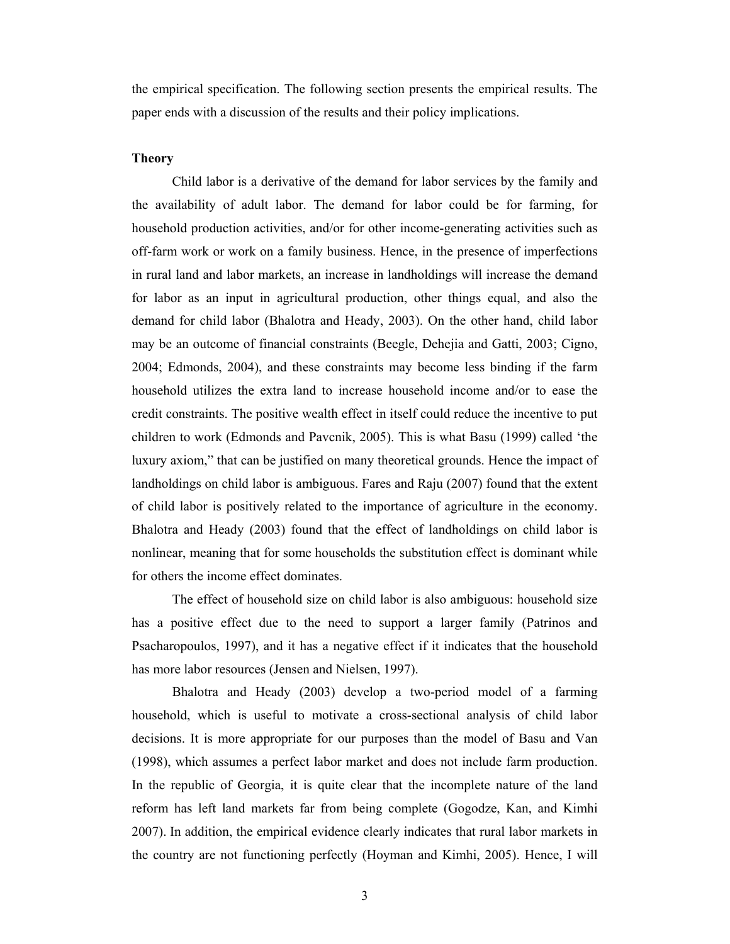the empirical specification. The following section presents the empirical results. The paper ends with a discussion of the results and their policy implications.

#### **Theory**

 Child labor is a derivative of the demand for labor services by the family and the availability of adult labor. The demand for labor could be for farming, for household production activities, and/or for other income-generating activities such as off-farm work or work on a family business. Hence, in the presence of imperfections in rural land and labor markets, an increase in landholdings will increase the demand for labor as an input in agricultural production, other things equal, and also the demand for child labor (Bhalotra and Heady, 2003). On the other hand, child labor may be an outcome of financial constraints (Beegle, Dehejia and Gatti, 2003; Cigno, 2004; Edmonds, 2004), and these constraints may become less binding if the farm household utilizes the extra land to increase household income and/or to ease the credit constraints. The positive wealth effect in itself could reduce the incentive to put children to work (Edmonds and Pavcnik, 2005). This is what Basu (1999) called 'the luxury axiom," that can be justified on many theoretical grounds. Hence the impact of landholdings on child labor is ambiguous. Fares and Raju (2007) found that the extent of child labor is positively related to the importance of agriculture in the economy. Bhalotra and Heady (2003) found that the effect of landholdings on child labor is nonlinear, meaning that for some households the substitution effect is dominant while for others the income effect dominates.

The effect of household size on child labor is also ambiguous: household size has a positive effect due to the need to support a larger family (Patrinos and Psacharopoulos, 1997), and it has a negative effect if it indicates that the household has more labor resources (Jensen and Nielsen, 1997).

Bhalotra and Heady (2003) develop a two-period model of a farming household, which is useful to motivate a cross-sectional analysis of child labor decisions. It is more appropriate for our purposes than the model of Basu and Van (1998), which assumes a perfect labor market and does not include farm production. In the republic of Georgia, it is quite clear that the incomplete nature of the land reform has left land markets far from being complete (Gogodze, Kan, and Kimhi 2007). In addition, the empirical evidence clearly indicates that rural labor markets in the country are not functioning perfectly (Hoyman and Kimhi, 2005). Hence, I will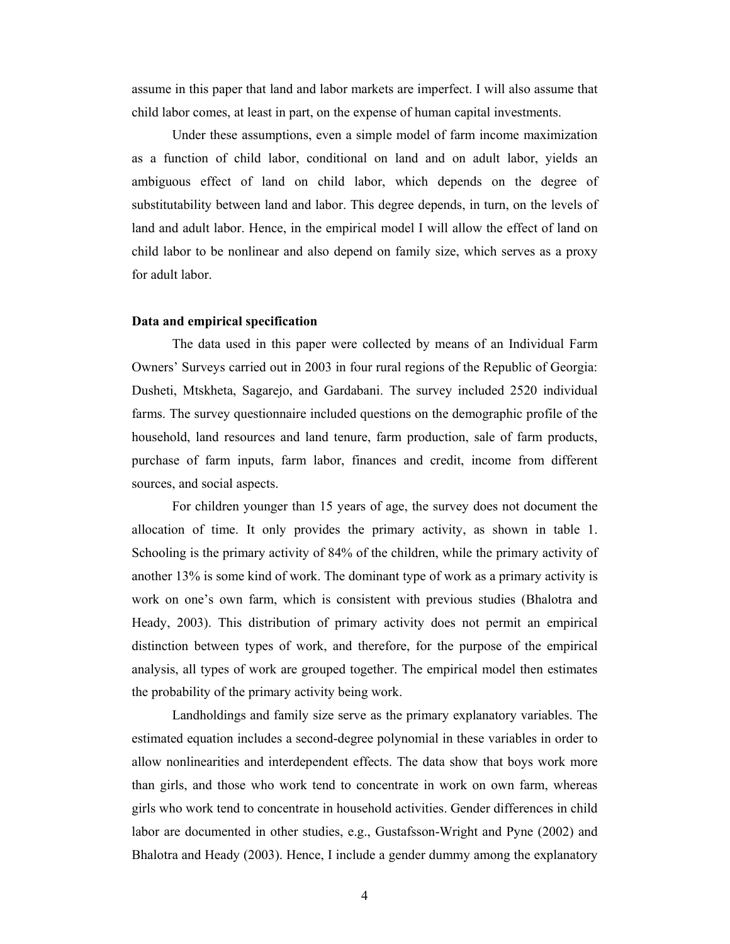assume in this paper that land and labor markets are imperfect. I will also assume that child labor comes, at least in part, on the expense of human capital investments.

Under these assumptions, even a simple model of farm income maximization as a function of child labor, conditional on land and on adult labor, yields an ambiguous effect of land on child labor, which depends on the degree of substitutability between land and labor. This degree depends, in turn, on the levels of land and adult labor. Hence, in the empirical model I will allow the effect of land on child labor to be nonlinear and also depend on family size, which serves as a proxy for adult labor.

#### **Data and empirical specification**

 The data used in this paper were collected by means of an Individual Farm Owners' Surveys carried out in 2003 in four rural regions of the Republic of Georgia: Dusheti, Mtskheta, Sagarejo, and Gardabani. The survey included 2520 individual farms. The survey questionnaire included questions on the demographic profile of the household, land resources and land tenure, farm production, sale of farm products, purchase of farm inputs, farm labor, finances and credit, income from different sources, and social aspects.

For children younger than 15 years of age, the survey does not document the allocation of time. It only provides the primary activity, as shown in table 1. Schooling is the primary activity of 84% of the children, while the primary activity of another 13% is some kind of work. The dominant type of work as a primary activity is work on one's own farm, which is consistent with previous studies (Bhalotra and Heady, 2003). This distribution of primary activity does not permit an empirical distinction between types of work, and therefore, for the purpose of the empirical analysis, all types of work are grouped together. The empirical model then estimates the probability of the primary activity being work.

Landholdings and family size serve as the primary explanatory variables. The estimated equation includes a second-degree polynomial in these variables in order to allow nonlinearities and interdependent effects. The data show that boys work more than girls, and those who work tend to concentrate in work on own farm, whereas girls who work tend to concentrate in household activities. Gender differences in child labor are documented in other studies, e.g., Gustafsson-Wright and Pyne (2002) and Bhalotra and Heady (2003). Hence, I include a gender dummy among the explanatory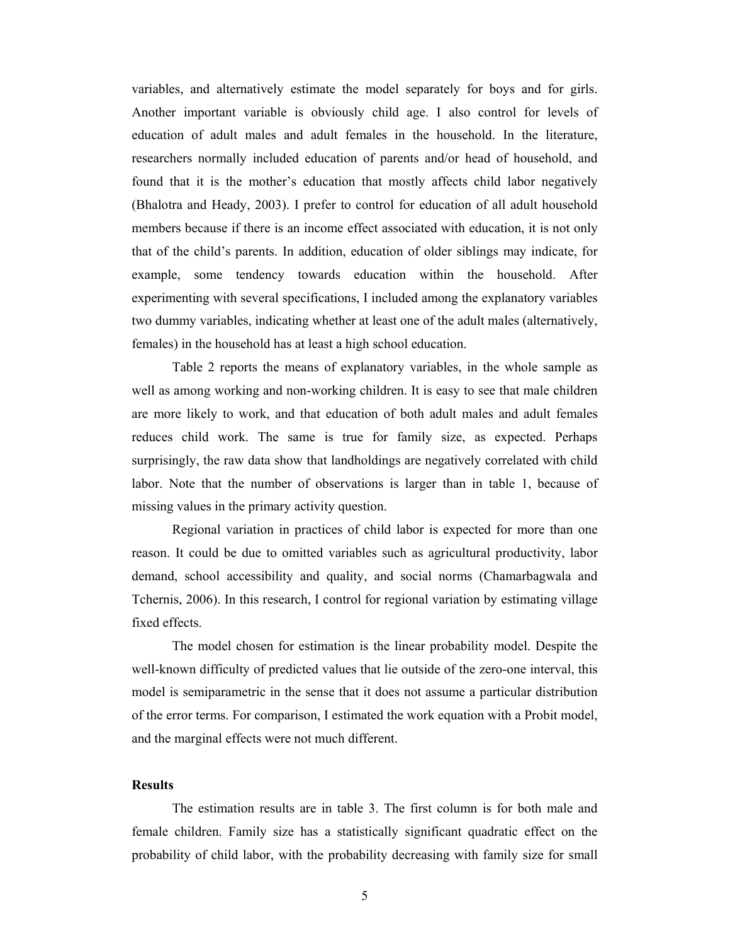variables, and alternatively estimate the model separately for boys and for girls. Another important variable is obviously child age. I also control for levels of education of adult males and adult females in the household. In the literature, researchers normally included education of parents and/or head of household, and found that it is the mother's education that mostly affects child labor negatively (Bhalotra and Heady, 2003). I prefer to control for education of all adult household members because if there is an income effect associated with education, it is not only that of the child's parents. In addition, education of older siblings may indicate, for example, some tendency towards education within the household. After experimenting with several specifications, I included among the explanatory variables two dummy variables, indicating whether at least one of the adult males (alternatively, females) in the household has at least a high school education.

Table 2 reports the means of explanatory variables, in the whole sample as well as among working and non-working children. It is easy to see that male children are more likely to work, and that education of both adult males and adult females reduces child work. The same is true for family size, as expected. Perhaps surprisingly, the raw data show that landholdings are negatively correlated with child labor. Note that the number of observations is larger than in table 1, because of missing values in the primary activity question.

Regional variation in practices of child labor is expected for more than one reason. It could be due to omitted variables such as agricultural productivity, labor demand, school accessibility and quality, and social norms (Chamarbagwala and Tchernis, 2006). In this research, I control for regional variation by estimating village fixed effects.

The model chosen for estimation is the linear probability model. Despite the well-known difficulty of predicted values that lie outside of the zero-one interval, this model is semiparametric in the sense that it does not assume a particular distribution of the error terms. For comparison, I estimated the work equation with a Probit model, and the marginal effects were not much different.

### **Results**

 The estimation results are in table 3. The first column is for both male and female children. Family size has a statistically significant quadratic effect on the probability of child labor, with the probability decreasing with family size for small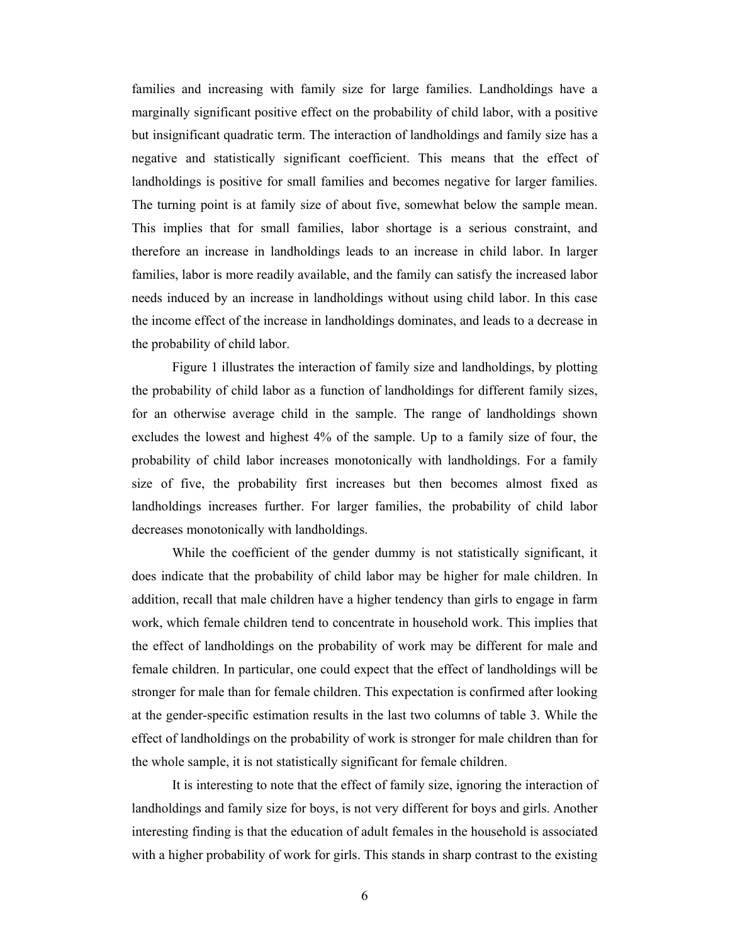families and increasing with family size for large families. Landholdings have a marginally significant positive effect on the probability of child labor, with a positive but insignificant quadratic term. The interaction of landholdings and family size has a negative and statistically significant coefficient. This means that the effect of landholdings is positive for small families and becomes negative for larger families. The turning point is at family size of about five, somewhat below the sample mean. This implies that for small families, labor shortage is a serious constraint, and therefore an increase in landholdings leads to an increase in child labor. In larger families, labor is more readily available, and the family can satisfy the increased labor needs induced by an increase in landholdings without using child labor. In this case the income effect of the increase in landholdings dominates, and leads to a decrease in the probability of child labor.

 Figure 1 illustrates the interaction of family size and landholdings, by plotting the probability of child labor as a function of landholdings for different family sizes, for an otherwise average child in the sample. The range of landholdings shown excludes the lowest and highest 4% of the sample. Up to a family size of four, the probability of child labor increases monotonically with landholdings. For a family size of five, the probability first increases but then becomes almost fixed as landholdings increases further. For larger families, the probability of child labor decreases monotonically with landholdings.

 While the coefficient of the gender dummy is not statistically significant, it does indicate that the probability of child labor may be higher for male children. In addition, recall that male children have a higher tendency than girls to engage in farm work, which female children tend to concentrate in household work. This implies that the effect of landholdings on the probability of work may be different for male and female children. In particular, one could expect that the effect of landholdings will be stronger for male than for female children. This expectation is confirmed after looking at the gender-specific estimation results in the last two columns of table 3. While the effect of landholdings on the probability of work is stronger for male children than for the whole sample, it is not statistically significant for female children.

 It is interesting to note that the effect of family size, ignoring the interaction of landholdings and family size for boys, is not very different for boys and girls. Another interesting finding is that the education of adult females in the household is associated with a higher probability of work for girls. This stands in sharp contrast to the existing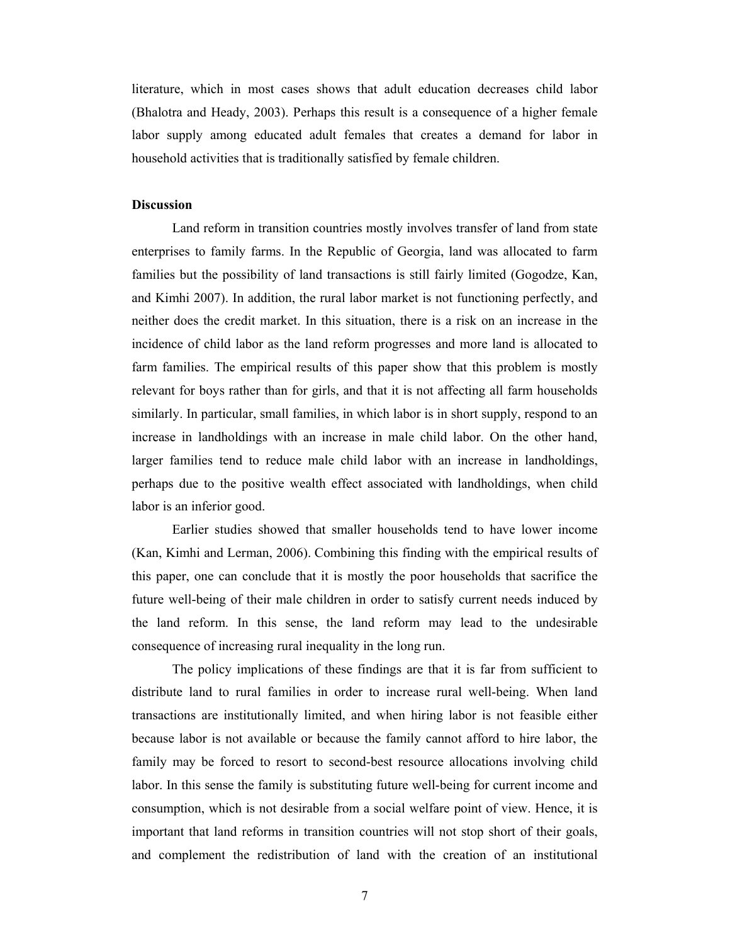literature, which in most cases shows that adult education decreases child labor (Bhalotra and Heady, 2003). Perhaps this result is a consequence of a higher female labor supply among educated adult females that creates a demand for labor in household activities that is traditionally satisfied by female children.

### **Discussion**

Land reform in transition countries mostly involves transfer of land from state enterprises to family farms. In the Republic of Georgia, land was allocated to farm families but the possibility of land transactions is still fairly limited (Gogodze, Kan, and Kimhi 2007). In addition, the rural labor market is not functioning perfectly, and neither does the credit market. In this situation, there is a risk on an increase in the incidence of child labor as the land reform progresses and more land is allocated to farm families. The empirical results of this paper show that this problem is mostly relevant for boys rather than for girls, and that it is not affecting all farm households similarly. In particular, small families, in which labor is in short supply, respond to an increase in landholdings with an increase in male child labor. On the other hand, larger families tend to reduce male child labor with an increase in landholdings, perhaps due to the positive wealth effect associated with landholdings, when child labor is an inferior good.

Earlier studies showed that smaller households tend to have lower income (Kan, Kimhi and Lerman, 2006). Combining this finding with the empirical results of this paper, one can conclude that it is mostly the poor households that sacrifice the future well-being of their male children in order to satisfy current needs induced by the land reform. In this sense, the land reform may lead to the undesirable consequence of increasing rural inequality in the long run.

The policy implications of these findings are that it is far from sufficient to distribute land to rural families in order to increase rural well-being. When land transactions are institutionally limited, and when hiring labor is not feasible either because labor is not available or because the family cannot afford to hire labor, the family may be forced to resort to second-best resource allocations involving child labor. In this sense the family is substituting future well-being for current income and consumption, which is not desirable from a social welfare point of view. Hence, it is important that land reforms in transition countries will not stop short of their goals, and complement the redistribution of land with the creation of an institutional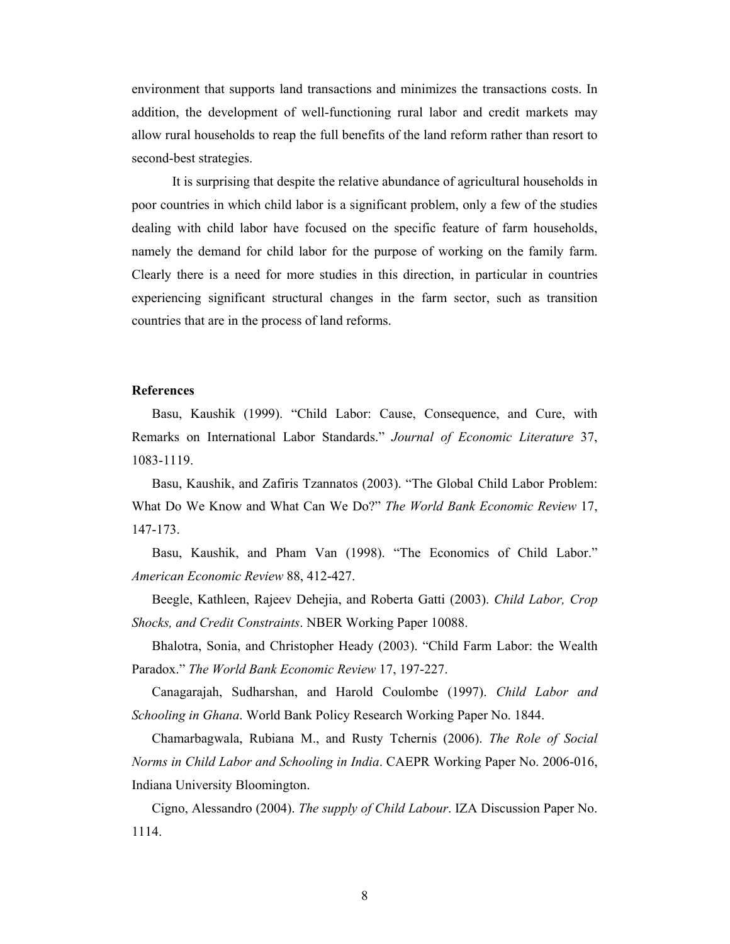environment that supports land transactions and minimizes the transactions costs. In addition, the development of well-functioning rural labor and credit markets may allow rural households to reap the full benefits of the land reform rather than resort to second-best strategies.

It is surprising that despite the relative abundance of agricultural households in poor countries in which child labor is a significant problem, only a few of the studies dealing with child labor have focused on the specific feature of farm households, namely the demand for child labor for the purpose of working on the family farm. Clearly there is a need for more studies in this direction, in particular in countries experiencing significant structural changes in the farm sector, such as transition countries that are in the process of land reforms.

#### **References**

Basu, Kaushik (1999). "Child Labor: Cause, Consequence, and Cure, with Remarks on International Labor Standards." *Journal of Economic Literature* 37, 1083-1119.

Basu, Kaushik, and Zafiris Tzannatos (2003). "The Global Child Labor Problem: What Do We Know and What Can We Do?" *The World Bank Economic Review* 17, 147-173.

Basu, Kaushik, and Pham Van (1998). "The Economics of Child Labor." *American Economic Review* 88, 412-427.

Beegle, Kathleen, Rajeev Dehejia, and Roberta Gatti (2003). *Child Labor, Crop Shocks, and Credit Constraints*. NBER Working Paper 10088.

Bhalotra, Sonia, and Christopher Heady (2003). "Child Farm Labor: the Wealth Paradox." *The World Bank Economic Review* 17, 197-227.

Canagarajah, Sudharshan, and Harold Coulombe (1997). *Child Labor and Schooling in Ghana*. World Bank Policy Research Working Paper No. 1844.

Chamarbagwala, Rubiana M., and Rusty Tchernis (2006). *The Role of Social Norms in Child Labor and Schooling in India*. CAEPR Working Paper No. 2006-016, Indiana University Bloomington.

Cigno, Alessandro (2004). *The supply of Child Labour*. IZA Discussion Paper No. 1114.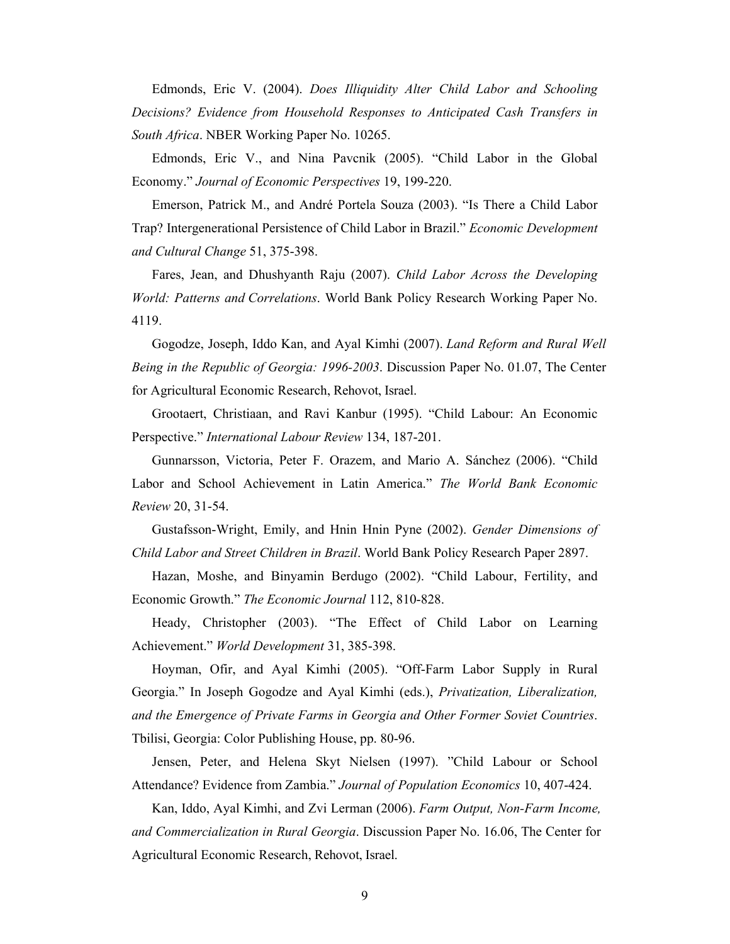Edmonds, Eric V. (2004). *Does Illiquidity Alter Child Labor and Schooling Decisions? Evidence from Household Responses to Anticipated Cash Transfers in South Africa*. NBER Working Paper No. 10265.

Edmonds, Eric V., and Nina Pavcnik (2005). "Child Labor in the Global Economy." *Journal of Economic Perspectives* 19, 199-220.

Emerson, Patrick M., and André Portela Souza (2003). "Is There a Child Labor Trap? Intergenerational Persistence of Child Labor in Brazil." *Economic Development and Cultural Change* 51, 375-398.

Fares, Jean, and Dhushyanth Raju (2007). *Child Labor Across the Developing World: Patterns and Correlations*. World Bank Policy Research Working Paper No. 4119.

Gogodze, Joseph, Iddo Kan, and Ayal Kimhi (2007). *Land Reform and Rural Well Being in the Republic of Georgia: 1996-2003*. Discussion Paper No. 01.07, The Center for Agricultural Economic Research, Rehovot, Israel.

Grootaert, Christiaan, and Ravi Kanbur (1995). "Child Labour: An Economic Perspective." *International Labour Review* 134, 187-201.

Gunnarsson, Victoria, Peter F. Orazem, and Mario A. Sánchez (2006). "Child Labor and School Achievement in Latin America." *The World Bank Economic Review* 20, 31-54.

Gustafsson-Wright, Emily, and Hnin Hnin Pyne (2002). *Gender Dimensions of Child Labor and Street Children in Brazil*. World Bank Policy Research Paper 2897.

Hazan, Moshe, and Binyamin Berdugo (2002). "Child Labour, Fertility, and Economic Growth." *The Economic Journal* 112, 810-828.

Heady, Christopher (2003). "The Effect of Child Labor on Learning Achievement." *World Development* 31, 385-398.

Hoyman, Ofir, and Ayal Kimhi (2005). "Off-Farm Labor Supply in Rural Georgia." In Joseph Gogodze and Ayal Kimhi (eds.), *Privatization, Liberalization, and the Emergence of Private Farms in Georgia and Other Former Soviet Countries*. Tbilisi, Georgia: Color Publishing House, pp. 80-96.

Jensen, Peter, and Helena Skyt Nielsen (1997). "Child Labour or School Attendance? Evidence from Zambia." *Journal of Population Economics* 10, 407-424.

Kan, Iddo, Ayal Kimhi, and Zvi Lerman (2006). *Farm Output, Non-Farm Income, and Commercialization in Rural Georgia*. Discussion Paper No. 16.06, The Center for Agricultural Economic Research, Rehovot, Israel.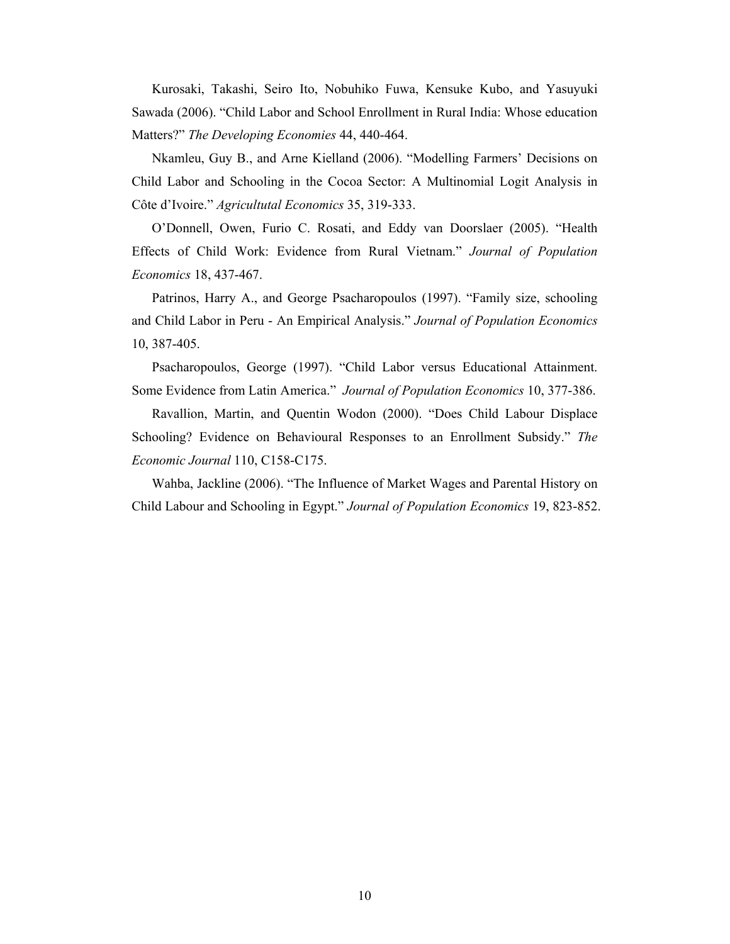Kurosaki, Takashi, Seiro Ito, Nobuhiko Fuwa, Kensuke Kubo, and Yasuyuki Sawada (2006). "Child Labor and School Enrollment in Rural India: Whose education Matters?" *The Developing Economies* 44, 440-464.

Nkamleu, Guy B., and Arne Kielland (2006). "Modelling Farmers' Decisions on Child Labor and Schooling in the Cocoa Sector: A Multinomial Logit Analysis in Côte d'Ivoire." *Agricultutal Economics* 35, 319-333.

O'Donnell, Owen, Furio C. Rosati, and Eddy van Doorslaer (2005). "Health Effects of Child Work: Evidence from Rural Vietnam." *Journal of Population Economics* 18, 437-467.

Patrinos, Harry A., and George Psacharopoulos (1997). "Family size, schooling and Child Labor in Peru - An Empirical Analysis." *Journal of Population Economics* 10, 387-405.

Psacharopoulos, George (1997). "Child Labor versus Educational Attainment. Some Evidence from Latin America." *Journal of Population Economics* 10, 377-386.

Ravallion, Martin, and Quentin Wodon (2000). "Does Child Labour Displace Schooling? Evidence on Behavioural Responses to an Enrollment Subsidy." *The Economic Journal* 110, C158-C175.

Wahba, Jackline (2006). "The Influence of Market Wages and Parental History on Child Labour and Schooling in Egypt." *Journal of Population Economics* 19, 823-852.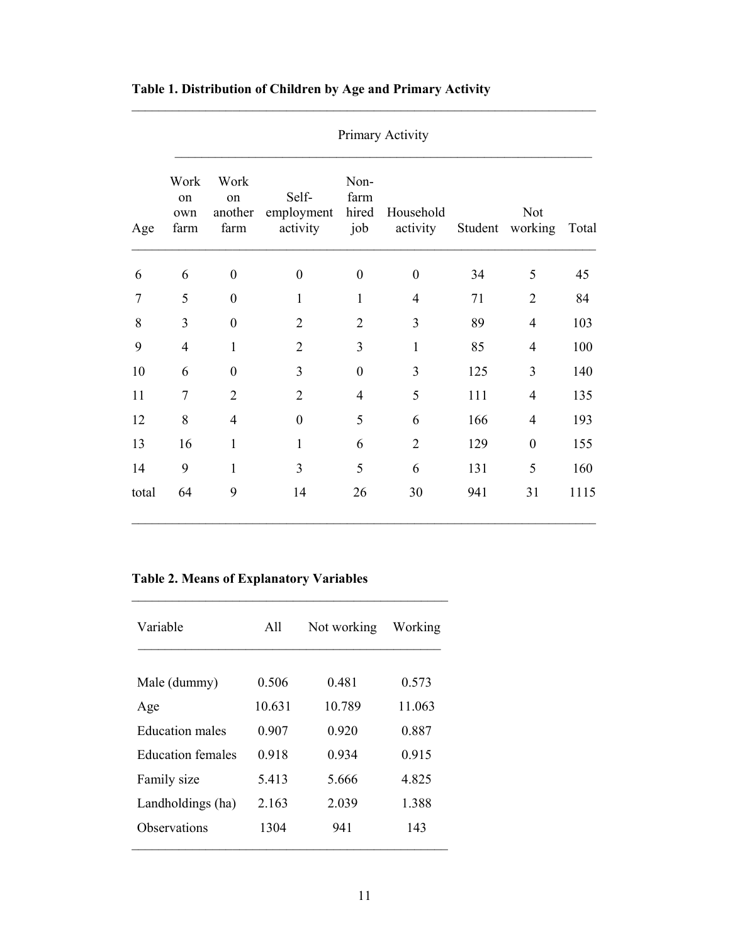|       | Primary Activity          |                               |                                 |                              |                       |         |                  |       |  |  |
|-------|---------------------------|-------------------------------|---------------------------------|------------------------------|-----------------------|---------|------------------|-------|--|--|
| Age   | Work<br>on<br>own<br>farm | Work<br>on<br>another<br>farm | Self-<br>employment<br>activity | Non-<br>farm<br>hired<br>job | Household<br>activity | Student | Not<br>working   | Total |  |  |
| 6     | 6                         | $\boldsymbol{0}$              | $\boldsymbol{0}$                | $\boldsymbol{0}$             | $\boldsymbol{0}$      | 34      | 5                | 45    |  |  |
| 7     | 5                         | $\boldsymbol{0}$              | $\mathbf{1}$                    | $\mathbf{1}$                 | $\overline{4}$        | 71      | $\overline{2}$   | 84    |  |  |
| 8     | 3                         | $\overline{0}$                | $\overline{2}$                  | $\overline{2}$               | 3                     | 89      | 4                | 103   |  |  |
| 9     | $\overline{4}$            | $\mathbf{1}$                  | $\overline{2}$                  | 3                            | $\mathbf{1}$          | 85      | 4                | 100   |  |  |
| 10    | 6                         | $\boldsymbol{0}$              | 3                               | $\boldsymbol{0}$             | 3                     | 125     | 3                | 140   |  |  |
| 11    | $\overline{7}$            | $\overline{2}$                | $\overline{2}$                  | $\overline{4}$               | 5                     | 111     | 4                | 135   |  |  |
| 12    | 8                         | $\overline{4}$                | $\boldsymbol{0}$                | 5                            | 6                     | 166     | 4                | 193   |  |  |
| 13    | 16                        | $\mathbf{1}$                  | 1                               | 6                            | $\overline{2}$        | 129     | $\boldsymbol{0}$ | 155   |  |  |
| 14    | 9                         | $\mathbf{1}$                  | 3                               | 5                            | 6                     | 131     | 5                | 160   |  |  |
| total | 64                        | 9                             | 14                              | 26                           | 30                    | 941     | 31               | 1115  |  |  |

## **Table 1. Distribution of Children by Age and Primary Activity**

### **Table 2. Means of Explanatory Variables**

| Variable               | A11     | Not working | Working |  |
|------------------------|---------|-------------|---------|--|
| Male (dummy)           | 0.506   | 0.481       | 0.573   |  |
|                        |         |             |         |  |
| Age                    | 10.631  | 10 789      | 11 063  |  |
| <b>Education males</b> | 0.907   | 0.920       | 0.887   |  |
| Education females      | 0.918   | 0 9 3 4     | 0.915   |  |
| Family size            | 5.413   | 5.666       | 4.825   |  |
| Landholdings (ha)      | 2 1 6 3 | 2039        | 1.388   |  |
| Observations           | 1304    | 941         | 143     |  |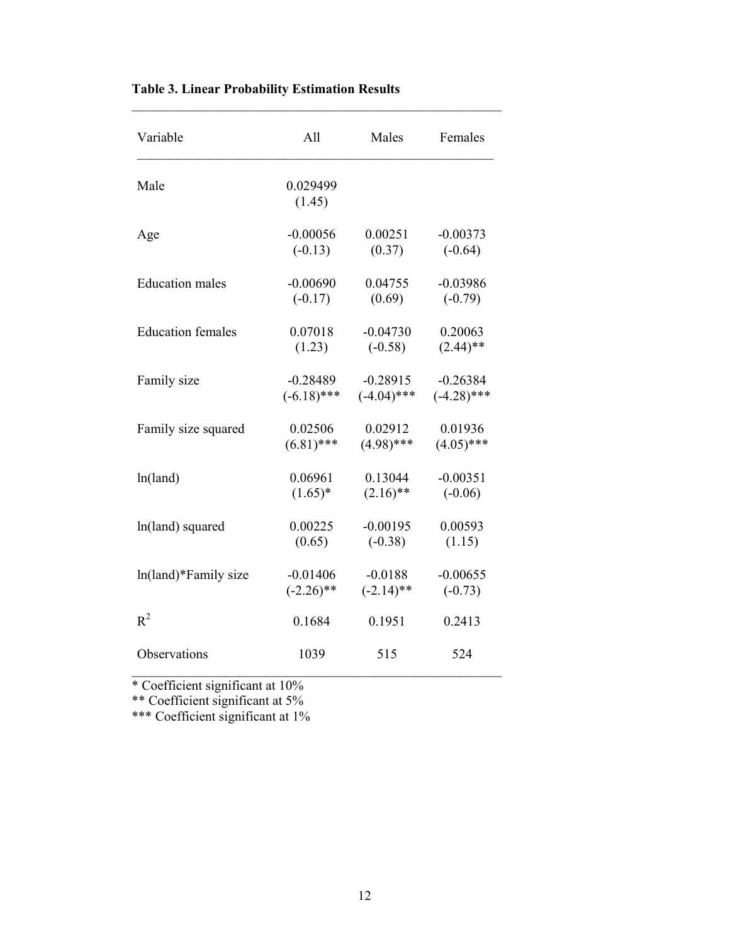| Variable                 | All                | Males         | Females       |  |
|--------------------------|--------------------|---------------|---------------|--|
| Male                     | 0.029499<br>(1.45) |               |               |  |
| Age                      | $-0.00056$         | 0.00251       | $-0.00373$    |  |
|                          | $(-0.13)$          | (0.37)        | $(-0.64)$     |  |
| <b>Education</b> males   | $-0.00690$         | 0.04755       | $-0.03986$    |  |
|                          | $(-0.17)$          | (0.69)        | $(-0.79)$     |  |
| <b>Education females</b> | 0.07018            | $-0.04730$    | 0.20063       |  |
|                          | (1.23)             | $(-0.58)$     | $(2.44)$ **   |  |
| Family size              | $-0.28489$         | $-0.28915$    | $-0.26384$    |  |
|                          | $(-6.18)$ ***      | $(-4.04)$ *** | $(-4.28)$ *** |  |
| Family size squared      | 0.02506            | 0.02912       | 0.01936       |  |
|                          | $(6.81)$ ***       | $(4.98)$ ***  | $(4.05)$ ***  |  |
| ln(land)                 | 0.06961            | 0.13044       | $-0.00351$    |  |
|                          | $(1.65)^*$         | $(2.16)$ **   | $(-0.06)$     |  |
| ln(land) squared         | 0.00225            | $-0.00195$    | 0.00593       |  |
|                          | (0.65)             | $(-0.38)$     | (1.15)        |  |
| ln(land)*Family size     | $-0.01406$         | $-0.0188$     | $-0.00655$    |  |
|                          | $(-2.26)$ **       | $(-2.14)$ **  | $(-0.73)$     |  |
| $R^2$                    | 0.1684             | 0.1951        | 0.2413        |  |
| Observations             | 1039               | 515           | 524           |  |

## **Table 3. Linear Probability Estimation Results**

\* Coefficient significant at 10%

\*\* Coefficient significant at 5%

\*\*\* Coefficient significant at 1%